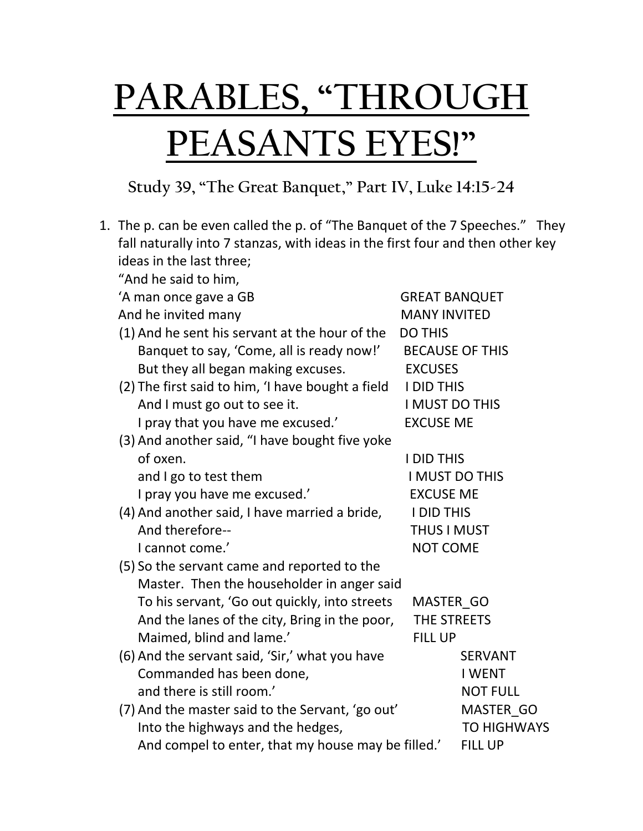## **PARABLES, "THROUGH PEASANTS EYES!"**

## **Study 39, "The Great Banquet," Part IV, Luke 14:15-24**

|  | 1. The p. can be even called the p. of "The Banquet of the 7 Speeches." They   |                       |                        |  |
|--|--------------------------------------------------------------------------------|-----------------------|------------------------|--|
|  | fall naturally into 7 stanzas, with ideas in the first four and then other key |                       |                        |  |
|  | ideas in the last three;                                                       |                       |                        |  |
|  | "And he said to him,                                                           |                       |                        |  |
|  | 'A man once gave a GB                                                          | <b>GREAT BANQUET</b>  |                        |  |
|  | And he invited many                                                            | <b>MANY INVITED</b>   |                        |  |
|  | (1) And he sent his servant at the hour of the                                 |                       | <b>DO THIS</b>         |  |
|  | Banquet to say, 'Come, all is ready now!'                                      |                       | <b>BECAUSE OF THIS</b> |  |
|  | But they all began making excuses.                                             | <b>EXCUSES</b>        |                        |  |
|  | (2) The first said to him, 'I have bought a field                              | <b>I DID THIS</b>     |                        |  |
|  | And I must go out to see it.                                                   | <b>I MUST DO THIS</b> |                        |  |
|  | I pray that you have me excused.'                                              | <b>EXCUSE ME</b>      |                        |  |
|  | (3) And another said, "I have bought five yoke                                 |                       |                        |  |
|  | of oxen.                                                                       | <b>I DID THIS</b>     |                        |  |
|  | and I go to test them                                                          | I MUST DO THIS        |                        |  |
|  | I pray you have me excused.'                                                   | <b>EXCUSE ME</b>      |                        |  |
|  | (4) And another said, I have married a bride,                                  | <b>I DID THIS</b>     |                        |  |
|  | And therefore--<br>I cannot come.'<br><b>NOT COME</b>                          |                       | <b>THUS I MUST</b>     |  |
|  |                                                                                |                       |                        |  |
|  | (5) So the servant came and reported to the                                    |                       |                        |  |
|  | Master. Then the householder in anger said                                     |                       |                        |  |
|  | To his servant, 'Go out quickly, into streets                                  | MASTER GO             |                        |  |
|  | And the lanes of the city, Bring in the poor,                                  | THE STREETS           |                        |  |
|  | Maimed, blind and lame.'<br><b>FILL UP</b>                                     |                       |                        |  |
|  | (6) And the servant said, 'Sir,' what you have                                 |                       | <b>SERVANT</b>         |  |
|  | Commanded has been done,                                                       |                       | <b>I WENT</b>          |  |
|  | and there is still room.'                                                      |                       | <b>NOT FULL</b>        |  |
|  | (7) And the master said to the Servant, 'go out'                               |                       | MASTER GO              |  |
|  | Into the highways and the hedges,                                              |                       | <b>TO HIGHWAYS</b>     |  |
|  | And compel to enter, that my house may be filled.'                             |                       | <b>FILL UP</b>         |  |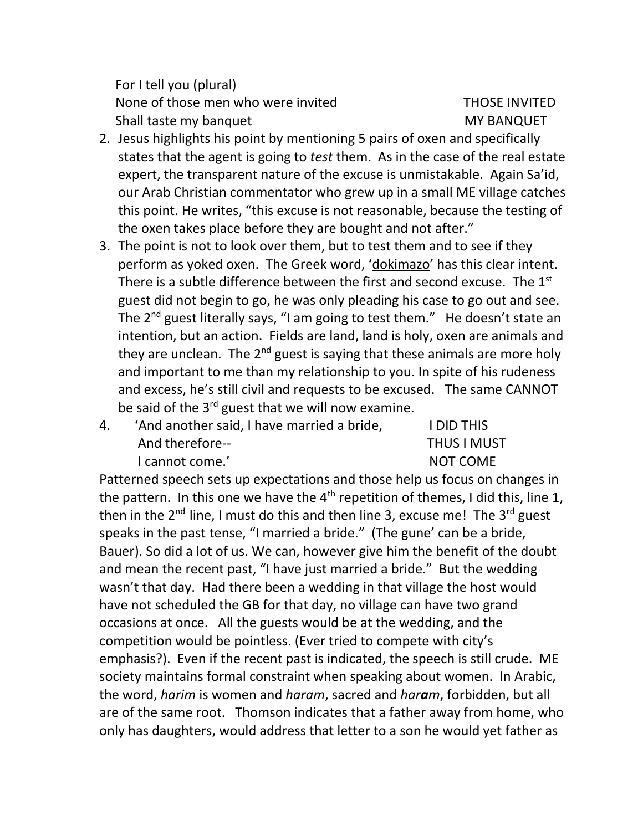For I tell you (plural) None of those men who were invited THOSE INVITED Shall taste my banquet MY BANQUET

- 2. Jesus highlights his point by mentioning 5 pairs of oxen and specifically states that the agent is going to *test* them. As in the case of the real estate expert, the transparent nature of the excuse is unmistakable. Again Sa'id, our Arab Christian commentator who grew up in a small ME village catches this point. He writes, "this excuse is not reasonable, because the testing of the oxen takes place before they are bought and not after."
- 3. The point is not to look over them, but to test them and to see if they perform as yoked oxen. The Greek word, 'dokimazo' has this clear intent. There is a subtle difference between the first and second excuse. The 1<sup>st</sup> guest did not begin to go, he was only pleading his case to go out and see. The 2<sup>nd</sup> guest literally says, "I am going to test them." He doesn't state an intention, but an action. Fields are land, land is holy, oxen are animals and they are unclean. The  $2^{nd}$  guest is saying that these animals are more holy and important to me than my relationship to you. In spite of his rudeness and excess, he's still civil and requests to be excused. The same CANNOT be said of the  $3^{rd}$  guest that we will now examine.
- 4. 'And another said, I have married a bride, I DID THIS And therefore-- THUS I MUST I cannot come.' NOT COME

Patterned speech sets up expectations and those help us focus on changes in the pattern. In this one we have the  $4<sup>th</sup>$  repetition of themes, I did this, line 1, then in the  $2^{nd}$  line, I must do this and then line 3, excuse me! The  $3^{rd}$  guest speaks in the past tense, "I married a bride." (The gune' can be a bride, Bauer). So did a lot of us. We can, however give him the benefit of the doubt and mean the recent past, "I have just married a bride." But the wedding wasn't that day. Had there been a wedding in that village the host would have not scheduled the GB for that day, no village can have two grand occasions at once. All the guests would be at the wedding, and the competition would be pointless. (Ever tried to compete with city's emphasis?). Even if the recent past is indicated, the speech is still crude. ME society maintains formal constraint when speaking about women. In Arabic, the word, *harim* is women and *haram*, sacred and *haram*, forbidden, but all are of the same root. Thomson indicates that a father away from home, who only has daughters, would address that letter to a son he would yet father as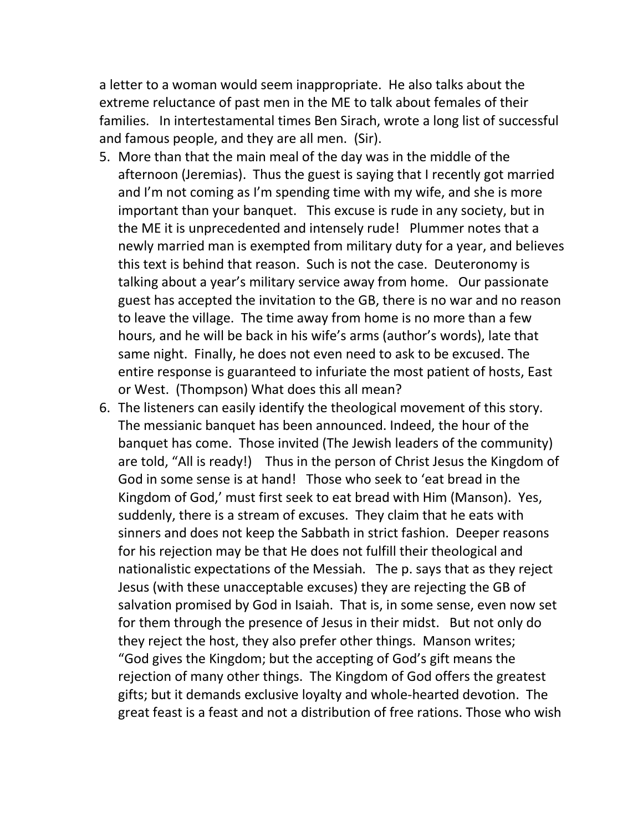a letter to a woman would seem inappropriate. He also talks about the extreme reluctance of past men in the ME to talk about females of their families. In intertestamental times Ben Sirach, wrote a long list of successful and famous people, and they are all men. (Sir).

- 5. More than that the main meal of the day was in the middle of the afternoon (Jeremias). Thus the guest is saying that I recently got married and I'm not coming as I'm spending time with my wife, and she is more important than your banquet. This excuse is rude in any society, but in the ME it is unprecedented and intensely rude! Plummer notes that a newly married man is exempted from military duty for a year, and believes this text is behind that reason. Such is not the case. Deuteronomy is talking about a year's military service away from home. Our passionate guest has accepted the invitation to the GB, there is no war and no reason to leave the village. The time away from home is no more than a few hours, and he will be back in his wife's arms (author's words), late that same night. Finally, he does not even need to ask to be excused. The entire response is guaranteed to infuriate the most patient of hosts, East or West. (Thompson) What does this all mean?
- 6. The listeners can easily identify the theological movement of this story. The messianic banquet has been announced. Indeed, the hour of the banquet has come. Those invited (The Jewish leaders of the community) are told, "All is ready!) Thus in the person of Christ Jesus the Kingdom of God in some sense is at hand! Those who seek to 'eat bread in the Kingdom of God,' must first seek to eat bread with Him (Manson). Yes, suddenly, there is a stream of excuses. They claim that he eats with sinners and does not keep the Sabbath in strict fashion. Deeper reasons for his rejection may be that He does not fulfill their theological and nationalistic expectations of the Messiah. The p. says that as they reject Jesus (with these unacceptable excuses) they are rejecting the GB of salvation promised by God in Isaiah. That is, in some sense, even now set for them through the presence of Jesus in their midst. But not only do they reject the host, they also prefer other things. Manson writes; "God gives the Kingdom; but the accepting of God's gift means the rejection of many other things. The Kingdom of God offers the greatest gifts; but it demands exclusive loyalty and whole-hearted devotion. The great feast is a feast and not a distribution of free rations. Those who wish